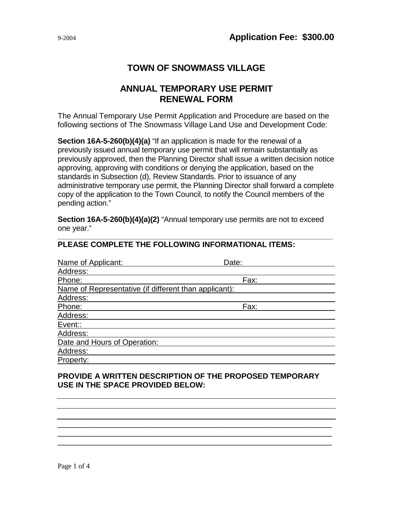# **TOWN OF SNOWMASS VILLAGE**

## **ANNUAL TEMPORARY USE PERMIT RENEWAL FORM**

The Annual Temporary Use Permit Application and Procedure are based on the following sections of The Snowmass Village Land Use and Development Code:

**Section 16A-5-260(b)(4)(a)** "If an application is made for the renewal of a previously issued annual temporary use permit that will remain substantially as previously approved, then the Planning Director shall issue a written decision notice approving, approving with conditions or denying the application, based on the standards in Subsection (d), Review Standards. Prior to issuance of any administrative temporary use permit, the Planning Director shall forward a complete copy of the application to the Town Council, to notify the Council members of the pending action."

**Section 16A-5-260(b)(4)(a)(2)** "Annual temporary use permits are not to exceed one year."

| Name of Applicant:                                    | Date: |  |  |
|-------------------------------------------------------|-------|--|--|
| Address:                                              |       |  |  |
| Phone:                                                | Fax:  |  |  |
| Name of Representative (if different than applicant): |       |  |  |
| Address:                                              |       |  |  |
| Phone:                                                | Fax:  |  |  |
| Address:                                              |       |  |  |
| Event::                                               |       |  |  |
| Address:                                              |       |  |  |
| Date and Hours of Operation:                          |       |  |  |
| Address:                                              |       |  |  |
| Property:                                             |       |  |  |

#### **\_\_\_\_\_\_\_\_\_\_\_\_\_\_\_\_\_\_\_\_\_\_\_\_\_\_\_\_\_\_\_\_\_\_\_\_\_\_\_\_\_\_\_\_\_\_\_\_\_\_\_\_\_\_\_\_\_\_\_\_\_\_\_\_\_\_\_\_\_\_\_\_\_\_\_\_\_ PLEASE COMPLETE THE FOLLOWING INFORMATIONAL ITEMS:**

## **PROVIDE A WRITTEN DESCRIPTION OF THE PROPOSED TEMPORARY USE IN THE SPACE PROVIDED BELOW:**

\_\_\_\_\_\_\_\_\_\_\_\_\_\_\_\_\_\_\_\_\_\_\_\_\_\_\_\_\_\_\_\_\_\_\_\_\_\_\_\_\_\_\_\_\_\_\_\_\_\_\_\_\_\_\_\_\_\_\_\_\_\_\_\_ \_\_\_\_\_\_\_\_\_\_\_\_\_\_\_\_\_\_\_\_\_\_\_\_\_\_\_\_\_\_\_\_\_\_\_\_\_\_\_\_\_\_\_\_\_\_\_\_\_\_\_\_\_\_\_\_\_\_\_\_\_ \_\_\_\_\_\_\_\_\_\_\_\_\_\_\_\_\_\_\_\_\_\_\_\_\_\_\_\_\_\_\_\_\_\_\_\_\_\_\_\_\_\_\_\_\_\_\_\_\_\_\_\_\_\_\_\_\_\_\_\_\_

 $\overline{\phantom{a}}$  $\overline{\phantom{a}}$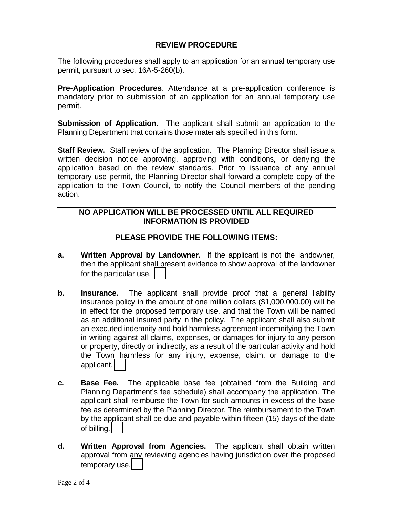### **REVIEW PROCEDURE**

The following procedures shall apply to an application for an annual temporary use permit, pursuant to sec. 16A-5-260(b).

**Pre-Application Procedures**. Attendance at a pre-application conference is mandatory prior to submission of an application for an annual temporary use permit.

**Submission of Application.** The applicant shall submit an application to the Planning Department that contains those materials specified in this form.

**Staff Review.** Staff review of the application. The Planning Director shall issue a written decision notice approving, approving with conditions, or denying the application based on the review standards. Prior to issuance of any annual temporary use permit, the Planning Director shall forward a complete copy of the application to the Town Council, to notify the Council members of the pending action.

### **NO APPLICATION WILL BE PROCESSED UNTIL ALL REQUIRED INFORMATION IS PROVIDED**

### **PLEASE PROVIDE THE FOLLOWING ITEMS:**

- **a. Written Approval by Landowner.** If the applicant is not the landowner, then the applicant shall present evidence to show approval of the landowner for the particular use.
- **b. Insurance.** The applicant shall provide proof that a general liability insurance policy in the amount of one million dollars (\$1,000,000.00) will be in effect for the proposed temporary use, and that the Town will be named as an additional insured party in the policy. The applicant shall also submit an executed indemnity and hold harmless agreement indemnifying the Town in writing against all claims, expenses, or damages for injury to any person or property, directly or indirectly, as a result of the particular activity and hold the Town harmless for any injury, expense, claim, or damage to the applicant.
- **c. Base Fee.** The applicable base fee (obtained from the Building and Planning Department's fee schedule) shall accompany the application. The applicant shall reimburse the Town for such amounts in excess of the base fee as determined by the Planning Director. The reimbursement to the Town by the applicant shall be due and payable within fifteen (15) days of the date of billing.
- **d. Written Approval from Agencies.** The applicant shall obtain written approval from any reviewing agencies having jurisdiction over the proposed temporary use.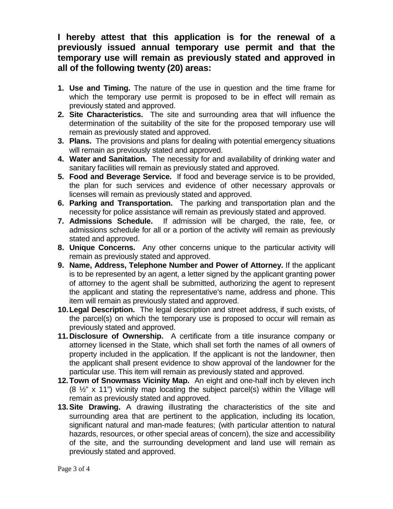## **I hereby attest that this application is for the renewal of a previously issued annual temporary use permit and that the temporary use will remain as previously stated and approved in all of the following twenty (20) areas:**

- **1. Use and Timing.** The nature of the use in question and the time frame for which the temporary use permit is proposed to be in effect will remain as previously stated and approved.
- **2. Site Characteristics.** The site and surrounding area that will influence the determination of the suitability of the site for the proposed temporary use will remain as previously stated and approved.
- **3. Plans.** The provisions and plans for dealing with potential emergency situations will remain as previously stated and approved.
- **4. Water and Sanitation.** The necessity for and availability of drinking water and sanitary facilities will remain as previously stated and approved.
- **5. Food and Beverage Service.** If food and beverage service is to be provided, the plan for such services and evidence of other necessary approvals or licenses will remain as previously stated and approved.
- **6. Parking and Transportation.** The parking and transportation plan and the necessity for police assistance will remain as previously stated and approved.
- **7. Admissions Schedule.** If admission will be charged, the rate, fee, or admissions schedule for all or a portion of the activity will remain as previously stated and approved.
- **8. Unique Concerns.** Any other concerns unique to the particular activity will remain as previously stated and approved.
- **9. Name, Address, Telephone Number and Power of Attorney.** If the applicant is to be represented by an agent, a letter signed by the applicant granting power of attorney to the agent shall be submitted, authorizing the agent to represent the applicant and stating the representative's name, address and phone. This item will remain as previously stated and approved.
- **10.Legal Description.** The legal description and street address, if such exists, of the parcel(s) on which the temporary use is proposed to occur will remain as previously stated and approved.
- **11.Disclosure of Ownership.** A certificate from a title insurance company or attorney licensed in the State, which shall set forth the names of all owners of property included in the application. If the applicant is not the landowner, then the applicant shall present evidence to show approval of the landowner for the particular use. This item will remain as previously stated and approved.
- **12.Town of Snowmass Vicinity Map.** An eight and one-half inch by eleven inch  $(8 \frac{1}{2}$ " x 11") vicinity map locating the subject parcel(s) within the Village will remain as previously stated and approved.
- **13.Site Drawing.** A drawing illustrating the characteristics of the site and surrounding area that are pertinent to the application, including its location, significant natural and man-made features; (with particular attention to natural hazards, resources, or other special areas of concern), the size and accessibility of the site, and the surrounding development and land use will remain as previously stated and approved.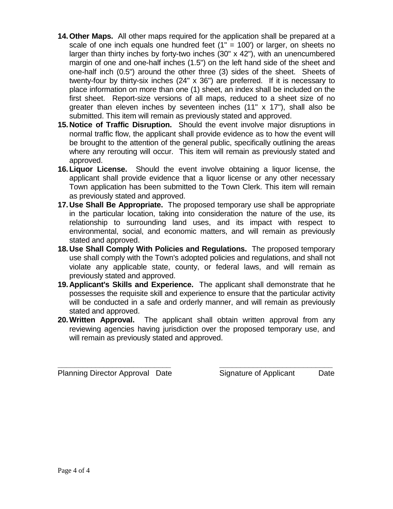- **14.Other Maps.** All other maps required for the application shall be prepared at a scale of one inch equals one hundred feet  $(1" = 100')$  or larger, on sheets no larger than thirty inches by forty-two inches (30" x 42"), with an unencumbered margin of one and one-half inches (1.5") on the left hand side of the sheet and one-half inch (0.5") around the other three (3) sides of the sheet. Sheets of twenty-four by thirty-six inches (24" x 36") are preferred. If it is necessary to place information on more than one (1) sheet, an index shall be included on the first sheet. Report-size versions of all maps, reduced to a sheet size of no greater than eleven inches by seventeen inches (11" x 17"), shall also be submitted. This item will remain as previously stated and approved.
- **15.Notice of Traffic Disruption.** Should the event involve major disruptions in normal traffic flow, the applicant shall provide evidence as to how the event will be brought to the attention of the general public, specifically outlining the areas where any rerouting will occur. This item will remain as previously stated and approved.
- **16.Liquor License.** Should the event involve obtaining a liquor license, the applicant shall provide evidence that a liquor license or any other necessary Town application has been submitted to the Town Clerk. This item will remain as previously stated and approved.
- **17.Use Shall Be Appropriate.** The proposed temporary use shall be appropriate in the particular location, taking into consideration the nature of the use, its relationship to surrounding land uses, and its impact with respect to environmental, social, and economic matters, and will remain as previously stated and approved.
- **18.Use Shall Comply With Policies and Regulations.** The proposed temporary use shall comply with the Town's adopted policies and regulations, and shall not violate any applicable state, county, or federal laws, and will remain as previously stated and approved.
- **19.Applicant's Skills and Experience.** The applicant shall demonstrate that he possesses the requisite skill and experience to ensure that the particular activity will be conducted in a safe and orderly manner, and will remain as previously stated and approved.
- **20.Written Approval.** The applicant shall obtain written approval from any reviewing agencies having jurisdiction over the proposed temporary use, and will remain as previously stated and approved.

**\_\_\_\_\_\_\_\_\_\_\_\_\_\_\_\_\_\_\_\_\_\_\_\_\_\_\_ \_\_\_\_\_\_\_\_\_\_\_\_\_\_\_\_\_\_\_\_\_\_\_\_\_\_\_**

Planning Director Approval Date Signature of Applicant Date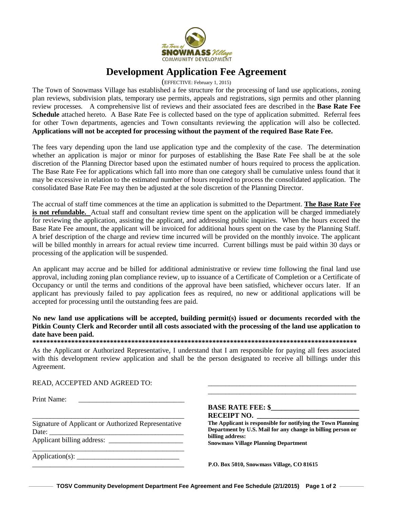

## **Development Application Fee Agreement**

(EFFECTIVE: February 1, 2015)

The Town of Snowmass Village has established a fee structure for the processing of land use applications, zoning plan reviews, subdivision plats, temporary use permits, appeals and registrations, sign permits and other planning review processes. A comprehensive list of reviews and their associated fees are described in the **Base Rate Fee Schedule** attached hereto. A Base Rate Fee is collected based on the type of application submitted. Referral fees for other Town departments, agencies and Town consultants reviewing the application will also be collected. **Applications will not be accepted for processing without the payment of the required Base Rate Fee.** 

The fees vary depending upon the land use application type and the complexity of the case. The determination whether an application is major or minor for purposes of establishing the Base Rate Fee shall be at the sole discretion of the Planning Director based upon the estimated number of hours required to process the application. The Base Rate Fee for applications which fall into more than one category shall be cumulative unless found that it may be excessive in relation to the estimated number of hours required to process the consolidated application. The consolidated Base Rate Fee may then be adjusted at the sole discretion of the Planning Director.

The accrual of staff time commences at the time an application is submitted to the Department. **The Base Rate Fee is not refundable.** Actual staff and consultant review time spent on the application will be charged immediately for reviewing the application, assisting the applicant, and addressing public inquiries. When the hours exceed the Base Rate Fee amount, the applicant will be invoiced for additional hours spent on the case by the Planning Staff. A brief description of the charge and review time incurred will be provided on the monthly invoice. The applicant will be billed monthly in arrears for actual review time incurred. Current billings must be paid within 30 days or processing of the application will be suspended.

An applicant may accrue and be billed for additional administrative or review time following the final land use approval, including zoning plan compliance review, up to issuance of a Certificate of Completion or a Certificate of Occupancy or until the terms and conditions of the approval have been satisfied, whichever occurs later. If an applicant has previously failed to pay application fees as required, no new or additional applications will be accepted for processing until the outstanding fees are paid.

**No new land use applications will be accepted, building permit(s) issued or documents recorded with the Pitkin County Clerk and Recorder until all costs associated with the processing of the land use application to date have been paid.** 

**\*\*\*\*\*\*\*\*\*\*\*\*\*\*\*\*\*\*\*\*\*\*\*\*\*\*\*\*\*\*\*\*\*\*\*\*\*\*\*\*\*\*\*\*\*\*\*\*\*\*\*\*\*\*\*\*\*\*\*\*\*\*\*\*\*\*\*\*\*\*\*\*\*\*\*\*\*\*\*\*\*\*\*\*\*\*\*\*\*\*\*\*** 

As the Applicant or Authorized Representative, I understand that I am responsible for paying all fees associated with this development review application and shall be the person designated to receive all billings under this Agreement.

READ, ACCEPTED AND AGREED TO:

Print Name:

\_\_\_\_\_\_\_\_\_\_\_\_\_\_\_\_\_\_\_\_\_\_\_\_\_\_\_\_\_\_\_\_\_\_\_\_\_\_\_\_\_\_\_ Signature of Applicant or Authorized Representative Date: \_\_\_\_\_\_\_\_\_\_\_\_\_\_\_\_\_\_\_\_\_\_\_\_\_\_\_\_\_\_\_\_\_\_\_\_\_\_ Applicant billing address:

\_\_\_\_\_\_\_\_\_\_\_\_\_\_\_\_\_\_\_\_\_\_\_\_\_\_\_\_\_\_\_\_\_\_\_\_\_\_\_\_\_\_\_

 $Application(s): \_\_$ 

#### **BASE RATE FEE: \$ RECEIPT NO. \_\_\_\_\_\_\_\_\_\_\_\_\_\_\_\_\_\_\_\_\_\_\_\_\_\_\_\_\_**

**The Applicant is responsible for notifying the Town Planning Department by U.S. Mail for any change in billing person or billing address: Snowmass Village Planning Department** 

\_\_\_\_\_\_\_\_\_\_\_\_\_\_\_\_\_\_\_\_\_\_\_\_\_\_\_\_\_\_\_\_\_\_\_\_\_\_\_\_\_\_ \_\_\_\_\_\_\_\_\_\_\_\_\_\_\_\_\_\_\_\_\_\_\_\_\_\_\_\_\_\_\_\_\_\_\_\_\_\_\_\_\_\_

\_\_\_\_\_\_\_\_\_\_\_\_\_\_\_\_\_\_\_\_\_\_\_\_\_\_\_\_\_\_\_\_\_\_\_\_\_\_\_\_\_\_\_ **P.O. Box 5010, Snowmass Village, CO 81615**